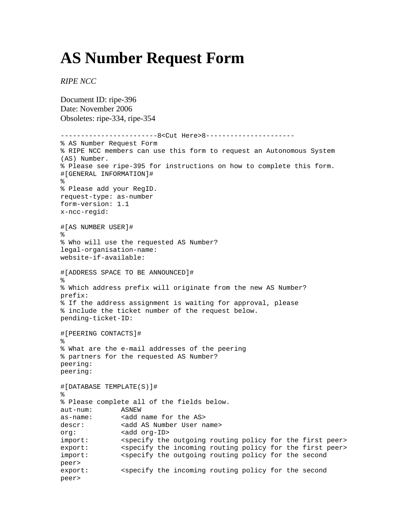## **AS Number Request Form**

*RIPE NCC*

Document ID: ripe-396 Date: November 2006 Obsoletes: ripe-334, ripe-354 -------------------------8<Cut Here>8----------------------% AS Number Request Form % RIPE NCC members can use this form to request an Autonomous System (AS) Number. % Please see ripe-395 for instructions on how to complete this form. #[GENERAL INFORMATION]#  $\mathbf{S}$ % Please add your RegID. request-type: as-number form-version: 1.1 x-ncc-regid: #[AS NUMBER USER]# % % Who will use the requested AS Number? legal-organisation-name: website-if-available: #[ADDRESS SPACE TO BE ANNOUNCED]# % % Which address prefix will originate from the new AS Number? prefix: % If the address assignment is waiting for approval, please % include the ticket number of the request below. pending-ticket-ID: #[PEERING CONTACTS]#  $\approx$ % What are the e-mail addresses of the peering % partners for the requested AS Number? peering: peering: #[DATABASE TEMPLATE(S)]# % % Please complete all of the fields below. aut-num: ASNEW as-name: <add name for the AS> descr: <add AS Number User name> org: <add org-ID> import: < specify the outgoing routing policy for the first peer> export: < specify the incoming routing policy for the first peer> import:  $\leq$  <specify the outgoing routing policy for the second peer> export: < specify the incoming routing policy for the second peer>